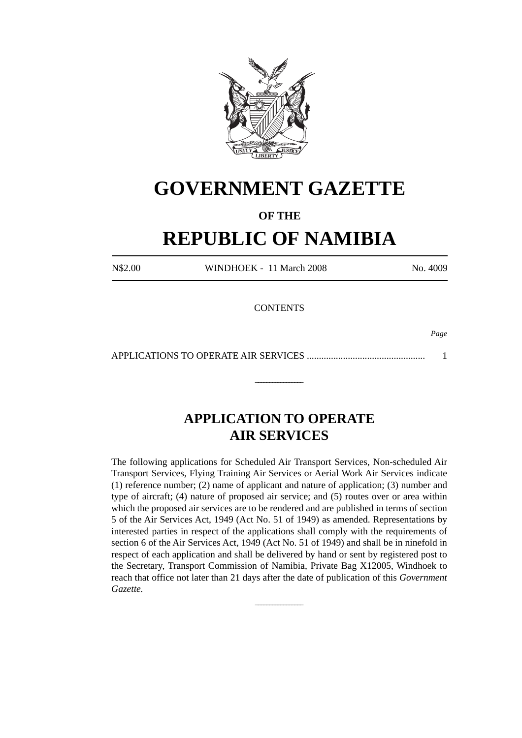

## **GOVERNMENT GAZETTE**

### **OF THE**

# **REPUBLIC OF NAMIBIA**

N\$2.00 WINDHOEK - 11 March 2008 No. 4009

**CONTENTS** 

*Page*

APPLICATIONS TO OPERATE AIR SERVICES ................................................. 1

\_\_\_\_\_\_\_\_\_\_\_\_\_\_\_\_\_

### **APPLICATION TO OPERATE AIR SERVICES**

The following applications for Scheduled Air Transport Services, Non-scheduled Air Transport Services, Flying Training Air Services or Aerial Work Air Services indicate (1) reference number; (2) name of applicant and nature of application; (3) number and type of aircraft; (4) nature of proposed air service; and (5) routes over or area within which the proposed air services are to be rendered and are published in terms of section 5 of the Air Services Act, 1949 (Act No. 51 of 1949) as amended. Representations by interested parties in respect of the applications shall comply with the requirements of section 6 of the Air Services Act, 1949 (Act No. 51 of 1949) and shall be in ninefold in respect of each application and shall be delivered by hand or sent by registered post to the Secretary, Transport Commission of Namibia, Private Bag X12005, Windhoek to reach that office not later than 21 days after the date of publication of this *Government Gazette.*

\_\_\_\_\_\_\_\_\_\_\_\_\_\_\_\_\_